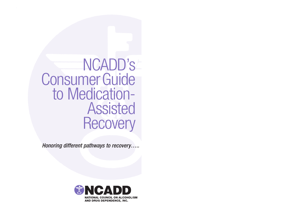NCADD'S Consumer Guide to Medication-Assisted **Recovery** 

*Honoring different pathways to recovery…..*

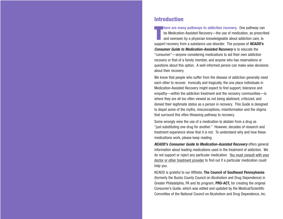### **Introduction**

**T here are many pathways to addiction recovery.** One pathway can be Medication-Assisted Recovery—the use of medication, as prescribed and overseen by a physician knowledgeable about addiction care, to support recovery from a substance use disorder. The purpose of *NCADD's Consumer Guide to Medication-Assisted Recovery* is to educate the "consumer"—anyone considering medications to aid their own addiction recovery or that of a family member, and anyone who has reservations or questions about this option. A well-informed person can make wise decisions about their recovery.

We know that people who suffer from the disease of addiction generally need each other to recover. Ironically and tragically, the one place individuals in Medication-Assisted Recovery might expect to find support, tolerance and empathy—within the addiction treatment and the recovery communities—is where they are all too often viewed as not being abstinent, criticized, and denied their legitimate status as a person in recovery. This Guide is designed to dispel some of the myths, misconceptions, misinformation and the stigma that surround this often lifesaving pathway to recovery.

Some wrongly view the use of a medication to abstain from a drug as "just substituting one drug for another." However, decades of research and treatment experience show that it is not. To understand why and how these medications work, please keep reading.

*NCADD's Consumer Guide to Medication-Assisted Recovery* offers general information about leading medications used in the treatment of addiction. We do not support or reject any particular medication. You must consult with your doctor or other treatment provider to find out if a particular medication could help you.

NCADD is grateful to our Affiliate, **The Council of Southeast Pennsylvania** (formerly the Bucks County Council on Alcoholism and Drug Dependence) in Greater Philadelphia, PA and its program, **PRO-ACT,** for creating the original Consumer's Guide, which was edited and updated by the Medical/Scientific Committee of the National Council on Alcoholism and Drug Dependence, Inc.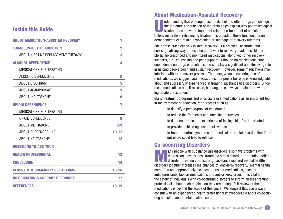# **Inside this Guide**

| <b>ABOUT MEDICATION-ASSISTED RECOVERY</b>  | 1              |
|--------------------------------------------|----------------|
| <b>TOBACCO/NICOTINE ADDICTION</b>          | $\overline{2}$ |
| ABOUT NICOTINE REPLACEMENT THERAPY         | 3              |
| <b>ALCOHOL DEPENDENCE</b>                  | 4              |
| <b>MEDICATIONS FOR TREATING</b>            |                |
| ALCOHOL DEPENDENCE                         | 5              |
| <b>ABOUT DISUFIRAM</b>                     | 5              |
| ABOUT ACAMPROSATE                          | 5              |
| ABOUT NALTREXONE                           | 6              |
| <b>OPIOID DEPENDENCE</b>                   | 7              |
| <b>MEDICATIONS FOR TREATING</b>            |                |
| <b>OPIOID DEPENDENCE</b>                   | 8              |
| ABOUT METHADONE                            | $8 - 9$        |
| <b>ABOUT BUPRENORPHINE</b>                 | $10 - 12$      |
| ABOUT NALTREXONE                           | 12             |
| <b>QUESTIONS TO ASK YOUR</b>               |                |
| <b>HEALTH PROFESSIONAL</b>                 | 13             |
| <b>CONCLUSION</b>                          | 14             |
| <b>GLOSSARY &amp; COMMONLY USED TERMS</b>  | $15 - 16$      |
| <b>INFORMATION &amp; SUPPORT RESOURCES</b> | 17             |
| <b>REFERENCES</b>                          | 18-19          |

### **About Medication-Assisted Recovery**

Inderstanding that prolonged use of alcohol and other drugs can change<br>the structure and function of the brain helps explain why pharmacologic<br>treatment can have an important role in the treatment of addiction. the structure and function of the brain helps explain why pharmacological treatment can have an important role in the treatment of addiction. Unless restorative, rebalancing treatment is provided, these functional brain derangements can result in worsening or sabotage of recovery attempts.

The phrase "Medication-Assisted Recovery" is a practical, accurate, and non-stigmatizing way to describe a pathway to recovery made possible by physician-prescribed and monitored medications, along with other recovery supports, e.g., counseling and peer support. Although no medications cure dependence on drugs or alcohol, some can play a significant and lifesaving role in helping people begin and sustain recovery. However, some medications may interfere with the recovery process. Therefore, when considering use of medications, we suggest you always consult a prescriber who is knowledgeable about and successfully experienced in treating substance use disorders. Since these medications can, if misused, be dangerous, always obtain them with a legitimate prescription.

Many treatment programs and physicians use medications as an important tool in the treatment of addiction, for purposes such as:

- to detoxify a person/prevent withdrawal
- to reduce the frequency and intensity of cravings
- to dampen or block the experience of feeling "high" or intoxicated
- to provide a shield against impulsive use
- to treat or control symptoms of a medical or mental disorder, that if left untreated could lead to relapse.

# **Co-occurring Disorders**

**Many people with substance use disorders also have problems with**<br>depression, anxiety, post-traumatic stress disorder or attention defi<br>disorders together increases the chances of long term recovery. Montal health depression, anxiety, post-traumatic stress disorder or attention deficit disorders together increases the chances of long-term recovery. Mental health care often and appropriately includes the use of medications, such as antidepressants, bipolar medications and anti-anxiety drugs. It is vital for the safety of individuals with co-occurring disorders to inform all their treating professionals about each medication they are taking. Full review of these medications is beyond the scope of this guide. We suggest that you always consult with an experienced health professional knowledgeable about co-occurring addiction and mental health disorders.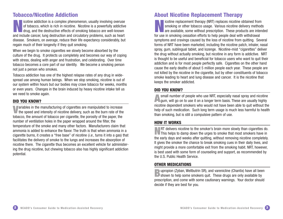# **Tobacco/Nicotine Addiction**

**Notified and include and include capacity with is rich in nicotine. Nicotine is a powerfully addictive drug, and the destructive effects of smoking tobacco are well-known and include capacity ling destruction and circulat** of tobacco, which is rich in nicotine. Nicotine is a powerfully addictive drug, and the destructive effects of smoking tobacco are well-known and include cancer, lung destruction and circulatory problems, such as heart disease. Smokers, on average, reduce their life expectancy considerably, but regain much of their longevity if they quit smoking.

When we begin to smoke cigarettes we slowly become absorbed by the culture of the drug. It protects us completely and becomes our way of coping with stress, dealing with anger and frustration, and celebrating. Over time tobacco becomes a core part of our identity. We become a smoking person not just a person who smokes.

Tobacco addiction has one of the highest relapse rates of any drug in widespread use among human beings. When we stop smoking, nicotine is out of our system within hours but our bodies may crave tobacco for weeks, months or even years. Changes in the brain induced by heavy nicotine intake tell us we need to smoke again.

#### **DID YOU KNOW?**

**V**ariables in the manufacturing of cigarettes are manipulated to increase  $^\prime$  the speed and intensity of nicotine delivery, such as the burn rate of the tobacco, the amount of tobacco per cigarette, the porosity of the paper, the number of ventilation holes in the paper wrapped around the filter, the temperature of the smoke and many other factors. Manufacturers claim that ammonia is added to enhance the flavor. The truth is that when ammonia in a cigarette burns, it creates a "free base" of nicotine (*i.e*., turns it into a gas) that facilitates the delivery of smoke to the lungs and increases the absorption of nicotine there. The cigarette thus becomes an excellent vehicle for administering the drug nicotine, but chewing tobacco also has highly significant addiction potential.

# **About Nicotine Replacement Therapy**

**Nicotine replacement therapy (NRT) replaces nicotine obtained from<br>smoking or other tobacco usage. Various nicotine delivery method<br>are available, some without prescription. These products are inter<br>for use in smoking cos** smoking or other tobacco usage. Various nicotine delivery methods **The available, some without prescription. These products are intended** for use in smoking cessation efforts to help people deal with withdrawal symptoms and cravings caused by the loss of nicotine from quitting. Several forms of NRT have been marketed, including the nicotine patch, inhaler, nasal spray, gum, sublingual tablet, and lozenge. Nicotine-mist "cigarettes" deliver the drug without actually smoking, but nicotine in any form is addictive. NRT is thought to be useful and beneficial for tobacco users who want to quit their addiction and is for most people perfectly safe. Cigarettes on the other hand cause the early deaths of about 5 million people each year. These people are not killed by the nicotine in the cigarette, but by other constituents of tobacco smoke leading to heart and lung disease and cancer. It is the nicotine that keeps the smoker addicted.

#### **DID YOU KNOW?**

**A** small number of people who use NRT, especially nasal spray and nicotine gum, will go on to use it on a longer term basis. These are usually highly nicotine dependent smokers who would not have been able to quit without the help of such medication. Such long term usage is much less harmful to health than smoking, but is still a compulsive pattern of use.

#### **HOW IT WORKS**

**NRT delivers nicotine to the smoker's brain more slowly than cigarettes do.**<br>This helps to damp down the urges to smoke that most smokers have in the early days and weeks after quitting, without removing nicotine completely. It gives the smoker the chance to break smoking cues in their daily lives, and might provide a more comfortable exit from the smoking habit. NRT, however, is best used with some form of counseling and support, as recommended by the U.S. Public Health Service.

#### **OTHER MEDICATIONS**

**B**upropion (Zyban, Wellbutrin SR), and varenicline (Chantix) have all been **D** shown to help some smokers quit. These drugs are only available by prescription, and come with some cautionary warnings. Your doctor should decide if they are best for you.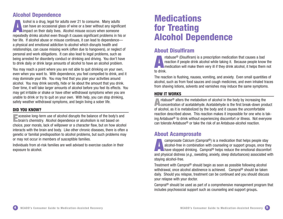# **Alcohol Dependence**

**Alcohol is a drug, legal for adults over 21 to consume. Many adults can have an occasional glass of wine or a beer without any significant impact on their daily lives. Alcohol misuse occurs when someone repeatedly drinks** can have an occasional glass of wine or a beer without any significant repeatedly drinks alcohol even though it causes significant problems in his or her life. If alcohol abuse or misuse continues, it can lead to dependence a physical and emotional addiction to alcohol which disrupts health and relationships, can cause missing work (often due to hangovers), or neglect of personal and work obligations. It can also lead to legal problems, such as being arrested for disorderly conduct or drinking and driving. You don't have to drink daily or drink large amounts of alcohol to have an alcohol problem.

You may reach a point where you are not able to quit drinking on your own, even when you want to. With dependence, you feel compelled to drink, and it may dominate your life. You may find that you plan your activities around alcohol. You may drink secretly, hide or lie about the amount that you drink. Over time, it will take larger amounts of alcohol before you feel its effects. You may get irritable or shake or have other withdrawal symptoms when you are unable to drink or try to quit on your own. With help, you can stop drinking, safely weather withdrawal symptoms, and begin living a sober life.

#### **DID YOU KNOW?**

**E**xcessive long-term use of alcohol disrupts the balance of the body's and **E** brain's chemistry. Alcohol dependence or alcoholism is not based on choice, poor morals, lack of willpower or a character flaw, but on how alcohol interacts with the brain and body. Like other chronic diseases, there is often a genetic or familial predisposition to alcohol problems, but such problems may or may not occur in members of susceptible families.

Individuals from at-risk families are well advised to exercise caution in their exposure to alcohol.

# **Medications for Treating Alcohol Dependence**

# **About Disulfiram**

**A**<br>**A** ntabuse® (Disulfiram) is a prescription medication that causes a bad<br>medication if people drink alcohol while taking it. Because people know the<br>medication will make them very ill if they drink alcohol, it helps th reaction if people drink alcohol while taking it. Because people know the to drink.

The reaction is flushing, nausea, vomiting, and anxiety. Even small quantities of alcohol, such as from food sauces and cough medicines, and even inhaled traces from shaving lotions, solvents and varnishes may induce the same symptoms.

#### **HOW IT WORKS**

**A**ntabuse® alters the metabolism of alcohol in the body by increasing the **Concentration of acetaldehyde. Acetaldehyde is the first break-down product** of alcohol, as it is metabolized by the body and it causes the uncomfortable reaction described above. This reaction makes it impossible for one who is taking Antabuse® to drink without experiencing discomfort or illness. Not everyone can tolerate Antabuse® or take the risk of an Antabuse-alcohol reaction.

# **About Acamprosate**

**Accept Calcium (Campral®) is a medication that helps people stay**<br>alcohol-free in combination with counseling or support groups, once they<br>have stopped drinking. Campral® helps reduce the emotional discomfort<br>and physical alcohol-free in combination with counseling or support groups, once they and physical distress (*e.g.*, sweating, anxiety, sleep disturbances) associated with staying alcohol-free.

Treatment with Campral® should begin as soon as possible following alcohol withdrawal, once alcohol abstinence is achieved. Campral® should be taken daily. Should you relapse, treatment can be continued and you should discuss your relapse with your doctor.

Campral® should be used as part of a comprehensive management program that includes psychosocial support such as counseling and support groups**.**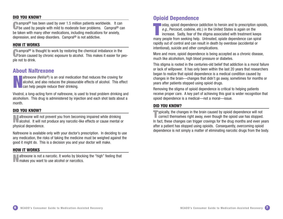#### **DID YOU KNOW?**

**C**ampral<sup>®</sup> has been used by over 1.5 million patients worldwide. It can be used by people with mild to moderate liver problems. Campral<sup>®</sup> can be taken with many other medications, including medications for anxiety, depression, and sleep disorders. Campral® is not addictive.

#### **HOW IT WORKS**

**C** ampral<sup>®</sup> is thought to work by restoring the chemical imbalance in the **U** brain caused by chronic exposure to alcohol. This makes it easier for people not to drink.

### **About Naltrexone**



**Naltrexone (ReVia®) is an oral medication that reduces the craving for alcohol, and also reduces the pleasurable effects of alcohol. This eff can help people reduce their drinking.** alcohol, and also reduces the pleasurable effects of alcohol. This effect can help people reduce their drinking.

Vivatrol, a long-acting form of naltrexone, is used to treat problem drinking and alcoholism. This drug is administered by injection and each shot lasts about a month.

#### **DID YOU KNOW?**

**N**altrexone will not prevent you from becoming impaired while drinking alcohol. It will not produce any narcotic-like effects or cause mental or physical dependence.

Naltrexone is available only with your doctor's prescription. In deciding to use any medication, the risks of taking the medicine must be weighed against the good it might do. This is a decision you and your doctor will make.

#### **HOW IT WORKS**

altrexone is not a narcotic. It works by blocking the "high" feeling that makes you want to use alcohol or narcotics.

# **Opioid Dependence**

oday, opioid dependence (addiction to heroin and to prescription opic<br>
e.g., Percocet, codeine, etc.) in the United States is again on the<br>
increase. Sadly, fear of the stigma associated with treatment keeps<br>
many people f oday, opioid dependence (addiction to heroin and to prescription opioids, *e.g*., Percocet, codeine, etc.) in the United States is again on the increase. Sadly, fear of the stigma associated with treatment keeps rapidly out of control and can result in death by overdose (accidental or intentional), suicide and other complications.

More and more, opioid dependence is being accepted as a chronic disease, much like alcoholism, high blood pressure or diabetes.

This stigma is rooted in the centuries-old belief that addiction is a moral failure or lack of willpower. It has only been within the last 20 years that researchers began to realize that opioid dependence is a medical condition caused by changes in the brain—changes that didn't go away, sometimes for months or years after patients stopped using opioid drugs.

Removing the stigma of opioid dependence is critical to helping patients receive proper care. A key part of achieving this goal is wider recognition that opioid dependence is a medical—not a moral—issue.

#### **DID YOU KNOW?**

**T**ypically, the changes in the brain caused by opioid dependence will not  $\blacksquare$  correct themselves right away, even though the opioid use has stopped. In fact, these changes can trigger cravings for the drug months and even years after a patient has stopped using opioids. Consequently, overcoming opioid dependence is not simply a matter of eliminating narcotic drugs from the body.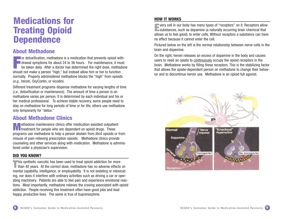# **Medications for Treating Opioid Dependence**

## **About Methadone**

**F**<br>F<br>Shoul or detoxification, methadone is a medication that prevents opioid withdrawal symptoms for about 24 to 36 hours. For maintenance, it must be taken daily. After a doctor has determined the right dose, methadone should not make a person "high," but instead allow him or her to function normally. Properly administered methadone blocks the "high" from opioids (*e.g.*, heroin, OxyContin, or vicodin).

Different treatment programs dispense methadone for varying lengths of time (*i.e.*, detoxification or maintenance). The amount of time a person is on methadone varies per person. It is determined by each individual and his or her medical professional. To achieve stable recovery, some people need to stay on methadone for long periods of time or for life; others use methadone only temporarily for "detox."

# **About Methadone Clinics**

**M**ethadone maintenance clinics offer medication-assisted outpatient treatment for people who are dependent on opioid drugs. These programs use methadone to help a person abstain from illicit opioids or from misuse of pain-relieving prescription opioids. Methadone clinics provide counseling and other services along with medication. Methadone is administered under a physician's supervision.

#### **DID YOU KNOW?**

**T**his synthetic narcotic has been used to treat opioid addiction for more than 40 years. At the correct dose, methadone has no adverse effects on mental capability, intelligence, or employability. It is not sedating or intoxicating, nor does it interfere with ordinary activities such as driving a car or operating machinery. Patients are able to feel pain and experience emotional reactions. Most importantly, methadone relieves the craving associated with opioid addiction. People receiving this treatment often have good jobs and lead happy, productive lives. The same is true of buprenorphine.

### **HOW IT WORKS**

**EVERY CELL IN OUR DOMARY CONSUMED SUBSTANCES**, such as dopamine (a naturally occurring brain chemical that allows us to feel good), to enter cells. Without receptors a substance can have no effect because it cannot enter the cell.

Pictured below on the left is the normal relationship between nerve cells in the brain and dopamine.

On the right, heroin releases an excess of dopamine in the body and causes users to need an opiate to continuously occupy the opioid receptors in the brain. Methadone works by filling these receptors. This is the stabilizing factor that allows the opiate-dependent person on methadone to change their behavior and to discontinue heroin use. Methadone is an opioid full agonist.

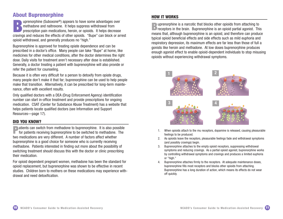# **About Buprenorphine**

**Buprenorphine (Suboxone®) appears to have some advantages over<br>
prescription pain medications, heroin, or opioids. It helps decrease<br>
prescription pain medications, heroin, or opioids. It helps decrease** methadone and naltrexone. It helps suppress withdrawal from cravings and reduces the effects of other opioids. "Bupe" can block or arrest opioid withdrawal, and generally produces no "high."

Buprenorphine is approved for treating opiate dependence and can be prescribed in a doctor's office. Many people can take "Bupe" at home, like medicines for other medical conditions, after the doctor determines the right dose. Daily visits for treatment aren't necessary after dose is established. Generally, a doctor treating a patient with buprenorphine will also provide or refer the patient for counseling.

Because it is often very difficult for a person to detoxify from opiate drugs, many people don't make it that far; buprenorphine can be used to help people make that transition. Alternatively, it can be prescribed for long-term maintenance, often with excellent results.

Only qualified doctors with a DEA (Drug Enforcement Agency) identification number can start in-office treatment and provide prescriptions for ongoing medication. CSAT (Center for Substance Abuse Treatment) has a website that helps patients locate qualified doctors (see Information and Support Resources—page 17).

#### **DID YOU KNOW?**

**P** atients can switch from methadone to buprenorphine. It is also possible for patients receiving buprenorphine to be switched to methadone. The two medications are very different. A number of factors affect whether buprenorphine is a good choice for someone who is currently receiving methadone. Patients interested in finding out more about the possibility of switching treatment should discuss this with the doctor or clinic prescribing their medication.

For opioid dependent pregnant women, methadone has been the standard for opioid replacement, but buprenorphine was shown to be effective in recent studies. Children born to mothers on these medications may experience withdrawal and need detoxification.

### **HOW IT WORKS**

**Buprenorphine is a narcotic that blocks other opioids from attaching to receptors in the brain. Buprenorphine is an opioid partial agonist. This** means that, although buprenorphine is an opioid, and therefore can produce typical opioid beneficial effects and side effects such as mild euphoria and respiratory depression, its maximum effects are far less than those of full a gonists like heroin and methadone. At low doses buprenorphine produces enough agonist effect to enable opioid-dependent individuals to stop misusing opioids without experiencing withdrawal symptoms.



- 1. When opioids attach to the mu receptors, dopamine is released, causing pleasurable feelings to be produced.
- 2. As opioids leave the receptors, pleasurable feelings fade and withdrawal symptoms (and possibly cravings) begin.
- 3. Buprenorphine attaches to the empty opioid receptors, suppressing withdrawal symptoms and reducing cravings. As a partial opioid agonist, buprenorphine works by controlling withdrawal symptoms and cravings and produces a limited euphoria or "high."
- 4. Buprenorphine attaches firmly to the receptors. At adequate maintenance doses, buprenorphine fills most receptors and blocks other opioids from attaching. Buprenorphine has a long duration of action, which means its effects do not wear off quickly.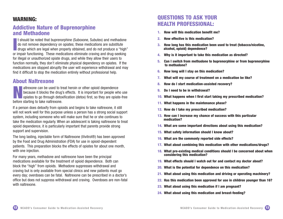# **WARNING:**

### **Addictive Nature of Buprenorphine and Methadone**

I should be noted that buprenorphine (Suboxone, Subutex) and methadone<br>do not remove dependency on opiates; these medications are substitute<br>drugs which are legal when properly obtained, and do not produce a "high<br>or impai t should be noted that buprenorphine (Suboxone, Subutex) and methadone do not remove dependency on opiates; these medications are substitute drugs which are legal when properly obtained, and do not produce a "high" for illegal or unauthorized opiate drugs, and while they allow their users to function normally, they don't eliminate physical dependency on opiates. If the medications are stopped abruptly the user will experience withdrawal and may find it difficult to stop the medication entirely without professional help.

### **About Naltrexone**

**Nationalization** can be used to treat heroin or other opioid dependence<br>because it blocks the drug's effects. It is important for people who use<br>opiates to go through detoxification (detox) first, so they are opiate-free<br> because it blocks the drug's effects. It is important for people who use before starting to take naltrexone.

If a person does detoxify from opioids and begins to take naltrexone, it still will not work well for this purpose unless a person has a strong social support system, including someone who will make sure that he or she continues to take the medication regularly. When an adolescent is taking naltrexone to treat opioid dependence, it is particularly important that parents provide strong support and supervision.

The long lasting, injectable form of Naltrexone (Vivitrol®) has been approved by the Food and Drug Administration (FDA) for use in opioid-dependent patients. This preparation blocks the effects of opiates for about one month, with one injection.

For many years, methadone and naltrexone have been the principal medications available for the treatment of opioid dependence. Both can block the "high" from opioids. Methadone suppresses withdrawal and craving but is only available from special clinics and new patients must go every day; overdoses can be fatal. Naltrexone can be prescribed in a doctor's office but does not suppress withdrawal and craving. Overdoses are non-fatal with naltrexone.

# **QUESTIONS TO ASK YOUR HEALTH PROFESSIONAL:**

- **1. How will this medication benefit me?**
- **2. How effective is this medication?**
- **3. How long has this medication been used to treat (tobacco/nicotine, alcohol, opioid) dependence?**
- **4. Why is it important to take this medication as directed?**
- **5. Can I switch from methadone to buprenorphine or from buprenorphine to methadone?**
- **6. How long will I stay on this medication?**
- **7. What will my course of treatment on a medication be like?**
- **8. How do I start medication-assisted recovery?**
- **9. Do I need to be in withdrawal?**
- **10. What happens when I first start taking my prescribed medication?**
- **11. What happens in the maintenance phase?**
- **12. How do I take my prescribed medication?**
- **13. How can I increase my chance of success with this particular medication?**
- **14. What are some important directions about using this medication?**
- **15. What safety information should I know about?**
- **16. What are the commonly reported side effects?**
- **17. What about combining this medication with other medications/drugs?**
- **18. What pre-existing medical conditions should I be concerned about when considering this medication?**
- **19. What effects should I watch out for and contact my doctor about?**
- **20. What is the potential for dependence on this medication?**
- **21. What about using this medication and driving or operating machinery?**
- **22. Has this medication been approved for use in children younger than 16?**
- **23. What about using this medication if I am pregnant?**
- **24. What about using this medication and breast-feeding?**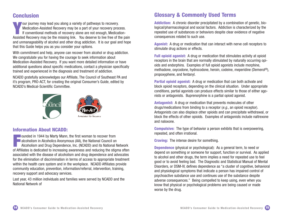# **Conclusion**

**Your journey may lead you along a variety of pathways to recovery.**<br> **Medication-Assisted Recovery may be a part of your recovery process.**<br> **If conventional methods of recovery alone are not enough, Medication-**<br> **Assist** Medication-Assisted Recovery may be a part of your recovery process. Assisted Recovery may be the missing link. You deserve to live free of the pain and unmanageability of alcohol and other drug addiction. It is our goal and hope that this Guide helps you as you consider your options.

With commitment and help, anyone can recover from alcohol or drug addiction. We congratulate you for having the courage to seek information about Medication-Assisted Recovery. If you want more detailed information or have additional questions about specific medications, contact a physician specifically trained and experienced in the diagnosis and treatment of addiction.

NCADD gratefully acknowledges our Affiliate, The Council of Southeast PA and it's program, PRO-ACT, for creating the original Consumer's Guide, edited by NCADD's Medical-Scientific Committee.



### **Information About NCADD:**

**Ounded in 1944 by Marty Mann, the first woman to recover from** 

alcoholism in Alcoholics Anonymous (AA), the National Council on

**FFELTS CONCERT AFFORM STATES IN AFFORM AFFORM AFFORM AFFORM AFFORM AFFORM AFFORM AFFINITED AFFORM AFFINITED AFFINITED Affiliates is dedicated to increasing awareness and reducing the stigma often and Brug Dependence, Inc.** Alcoholism and Drug Dependence, Inc. (NCADD) and its National Network associated with the disease of alcoholism and drug dependence and advocates for the elimination of discrimination in terms of access to appropriate treatment within the health care system and in the workplace. NCADD Affiliates provide community education, prevention, information/referral, intervention, training, recovery support and advocacy services.

Last year, 43 million individuals and families were served by NCADD and the National Network of

# **Glossary & Commonly Used Terms**

**Addiction:** A chronic disorder precipitated by a combination of genetic, biological/pharmacological and social factors. Addiction is characterized by the repeated use of substances or behaviors despite clear evidence of negative consequences related to such use.

**Agonist:** A drug or medication that can interact with nerve cell receptors to stimulate drug actions or effects.

**Full opioid agonist:** A drug or medication that stimulates activity at opioid receptors in the brain that are normally stimulated by naturally occurring opioids and endorphins. Examples of full opioid agonists include morphine, methadone, oxycodone, hydrocodone, heroin, codeine, meperidine (Demerol®), propoxyphene, and fentanyl.

**Partial opioid agonist:** A drug or medication that can both activate and block opioid receptors, depending on the clinical situation. Under appropriate conditions, partial agonists can produce effects similar to those of either agonists or antagonists. Buprenorphine is a partial opioid agonist.

**Antagonist:** A drug or medication that prevents molecules of other drugs/medications from binding to a receptor (*e.g.*, an opioid receptor). Antagonists can also displace other opioids and can precipitate withdrawal, or block the effects of other opioids. Examples of antagonists include naltrexone and naloxone.

**Compulsive:** The type of behavior a person exhibits that is overpowering, repeated, and often irrational.

**Craving:** The intense desire for something.

**Dependence** (physical or psychological): As a general term, to need or depend on something or someone for support, function or survival. As applied to alcohol and other drugs, the term implies a need for repeated use to feel good or to avoid feeling bad. The Diagnostic and Statistical Manual of Mental Disorders, or DSM-IV, defines dependence as "a cluster of cognitive, behavioral and physiological symptoms that indicate a person has impaired control of psychoactive substance use and continues use of the substance despite adverse consequences." Being compelled to keep using, even when you know that physical or psychological problems are being caused or made worse by the drug.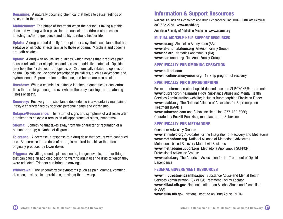**Dopamine:** A naturally occurring chemical that helps to cause feelings of pleasure in the brain.

**Maintenance:** The phase of treatment when the person is taking a stable dose and working with a physician or counselor to address other issues affecting his/her dependence and ability to rebuild his/her life.

**Opiate:** A drug created directly from opium or a synthetic substance that has sedative or narcotic effects similar to those of opium. Morphine and codeine are both opiates.

**Opioid:** A drug with opium-like qualities, which means that it reduces pain, causes relaxation or sleepiness, and carries an addictive potential. Opioids may be either 1) derived from opiates or 2) chemically related to opiates or opium. Opioids include some prescription painkillers, such as oxycodone and hydrocodone. Buprenorphine, methadone, and heroin are also opioids.

**Overdose:** When a chemical substance is taken in quantities or concentrations that are large enough to overwhelm the body, causing life-threatening illness or death.

**Recovery:** Recovery from substance dependence is a voluntarily maintained lifestyle characterized by sobriety, personal health and citizenship.

**Relapse/Reoccurance:** The return of signs and symptoms of a disease after a patient has enjoyed a remission (disappearance of signs, symptoms).

**Stigma:** Something that takes away from the character or reputation of a person or group; a symbol of disgrace.

**Tolerance:** A decrease in response to a drug dose that occurs with continued use. An increase in the dose of a drug is required to achieve the effects originally produced by lower doses.

**Triggers:** Activities, sounds, places, people, images, events, or other things that can cause an addicted person to want to again use the drug to which they were addicted. Triggers can bring on cravings.

**Withdrawal:** The uncomfortable symptoms (such as pain, cramps, vomiting, diarrhea, anxiety, sleep problems, cravings) that develop.

# **Information & Support Resources**

National Council on Alcoholism and Drug Dependence, Inc. NCADD Affiliate Referral: 800-622-2255 **www.ncadd.org** 

American Society of Addiction Medicine **www.asam.org**

#### **MUTUAL AID/SELP-HELP SUPPORT RESOURCES**

**www.aa.org** Alcoholics Anonymous (AA) **www.al-anon.alateen.org** Al-Anon Family Groups **www.na.org** Narcotics Anonymous (NA) **www.nar-anon.org** Nar-Anon Family Groups

#### **SPECIFICALLY FOR SMOKING CESSATION**

**www.quitnet.com www.nicotine-anonymous.org** 12 Step program of recovery

#### **SPECIFICALLY FOR BUPRENORPHINE**

For more information about opioid dependence and SUBOXONE® treatment: **www.buprenorphine.samhsa.gov** Substance Abuse and Mental Health Services Administration website; includes Buprenorphine Physician Finder **www.naabt.org** The National Alliance of Advocates for Buprenorphine Treatment (NAABT)

**www.suboxone.com** and Suboxone Help Line (877-782-6966) Operated by Reckitt Benckiser, manufacturer of Suboxone

#### **SPECIFICALLY FOR METHADONE**

#### Consumer Advocacy Groups:

**www.afirmfwc.org** Advocates for the Integration of Recovery and Methadone **www.methadone.org** National Alliance of Methadone Advocates Methadone-based Recovery Mutual Aid Societies: **www.methadonesupport.org** Methadone Anonymous SUPPORT Professional Advocacy Groups: **www.aatod.org** The American Association for the Treatment of Opioid Dependence

#### **FEDERAL GOVERNMENT RESOURCES**

**www.findtreatment.samhsa.gov** Substance Abuse and Mental Health Services Administration; (SAMHSA) Treatment Facility Locator **www.NIAAA.nih.gov** National Institute on Alcohol Abuse and Alcoholism (NIAAA)

**www.NIDA.nih.gov** National Institute on Drug Abuse (NIDA)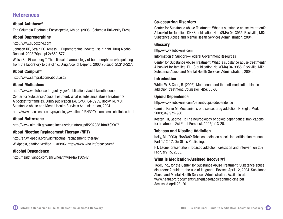# **References**

#### **About Antabuse®**

The Columbia Electronic Encyclopedia, 6th ed. (2005). Columbia University Press.

### **About Buprenorphine**

http://www.suboxone.com

Johnson RE, Strain EC, Amass L. Buprenorphine: how to use it right. Drug Alcohol Depend. 2003;70(suppl 2):S59-S77.

Walsh SL, Eissenberg T. The clinical pharmacology of buprenorphine: extrapolating from the laboratory to the clinic. Drug Alcohol Depend. 2003;70(suppl 2):S13-S27.

### **About Campral®**

http://www.campral.com/about.aspx

### **About Methadone**

http://www.whitehousedrugpolicy.gov/publications/factsht/methadone

Center for Substance Abuse Treatment. What is substance abuse treatment? A booklet for families. DHHS publication No. (SMA) 04-3955. Rockville, MD: Substance Abuse and Mental Health Services Administration, 2004.

http://www.macalester.edu/psychology/whathap/UBNRP/Dopamine/alcoholtobac.html

### **About Naltrexone**

http://www.nlm.nih.gov/medlineplus/druginfo/uspdi/202388.html#SXX07

### **About Nicotine Replacement Therapy (NRT)**

http://en.wikipedia.org/wiki/Nicotine\_replacement\_therapy Wikipedia, citation verified 11/09/06: http://www.who.int/tobacco/en/

### **Alcohol Dependence**

http://health.yahoo.com/ency/healthwise/hw130547

### **Co-occurring Disorders**

Center for Substance Abuse Treatment. What is substance abuse treatment? A booklet for families. DHHS publication No,. (SMA) 04-3955. Rockville, MD: Substance Abuse and Mental Health Services Administration, 2004.

### **Glossary**

http://www.suboxone.com

Information & Support—Federal Government Resources

Center for Substance Abuse Treatment. What is substance abuse treatment? A booklet for families. DHHS publication No. (SMA) 04-3955. Rockville, MD: Substance Abuse and Mental Health Services Administration, 2004.

### **Introduction**

White, W. & Coon, B. (2003). Methadone and the anti-medication bias in addiction treatment. Counselor 4(5): 58-63.

### **Opioid Dependence**

http://www.suboxone.com/patients/opioiddependence

Camí J, Farré M. Mechanisms of disease: drug addiction. N Engl J Med. 2003;349:975-986.

Kosten TR, George TP. The neurobiology of opioid dependence: implications for treatment. Sci Pract Perspect. 2002;1:13-20.

### **Tobacco and Nicotine Addiction**

Kelly, M. (2003). NAADAC: Tobacco addiction specialist certification manual. Part 1:12-17. OurGlass Publishing.

F.T. Leone, presentation, Tobacco addiction, cessation and intervention 202, February 15, 2005.

### **What is Medication-Assisted Recovery?**

TASC, Inc., for the Center for Substance Abuse Treatment. Substance abuse disorders: A guide to the use of language. Revised April 12, 2004. Substance Abuse and Mental Health Services Administration. Available at: www.naabt.org/documents/Languageofaddictionmedicine.pdf Accessed April 23, 2011.